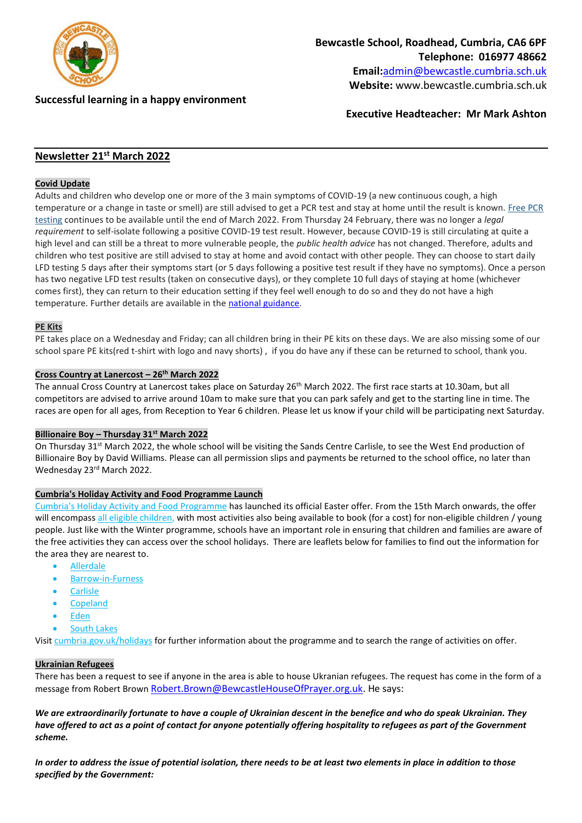

**Successful learning in a happy environment** 

**Executive Headteacher: Mr Mark Ashton**

# **Newsletter 21st March 2022**

## **Covid Update**

Adults and children who develop one or more of the 3 main symptoms of COVID-19 (a new continuous cough, a high temperature or a change in taste or smell) are still advised to get a PCR test and stay at home until the result is known. [Free](https://lnks.gd/l/eyJhbGciOiJIUzI1NiJ9.eyJidWxsZXRpbl9saW5rX2lkIjoxMDIsInVyaSI6ImJwMjpjbGljayIsImJ1bGxldGluX2lkIjoiMjAyMjAzMDcuNTQ1MDM5NzEiLCJ1cmwiOiJodHRwczovL3d3dy5uaHMudWsvY29uZGl0aW9ucy9jb3JvbmF2aXJ1cy1jb3ZpZC0xOS90ZXN0aW5nL2dldC10ZXN0ZWQtZm9yLWNvcm9uYXZpcnVzLyJ9.HkMsSYyCquJzbKeII_kra0v0DY920c5krAxu1gMHe-g/s/1123325185/br/127630488281-l) PCR [testing](https://lnks.gd/l/eyJhbGciOiJIUzI1NiJ9.eyJidWxsZXRpbl9saW5rX2lkIjoxMDIsInVyaSI6ImJwMjpjbGljayIsImJ1bGxldGluX2lkIjoiMjAyMjAzMDcuNTQ1MDM5NzEiLCJ1cmwiOiJodHRwczovL3d3dy5uaHMudWsvY29uZGl0aW9ucy9jb3JvbmF2aXJ1cy1jb3ZpZC0xOS90ZXN0aW5nL2dldC10ZXN0ZWQtZm9yLWNvcm9uYXZpcnVzLyJ9.HkMsSYyCquJzbKeII_kra0v0DY920c5krAxu1gMHe-g/s/1123325185/br/127630488281-l) continues to be available until the end of March 2022. From Thursday 24 February, there was no longer a *legal requirement* to self-isolate following a positive COVID-19 test result. However, because COVID-19 is still circulating at quite a high level and can still be a threat to more vulnerable people, the *public health advice* has not changed. Therefore, adults and children who test positive are still advised to stay at home and avoid contact with other people. They can choose to start daily LFD testing 5 days after their symptoms start (or 5 days following a positive test result if they have no symptoms). Once a person has two negative LFD test results (taken on consecutive days), or they complete 10 full days of staying at home (whichever comes first), they can return to their education setting if they feel well enough to do so and they do not have a high temperature. Further details are available in the national [guidance.](https://lnks.gd/l/eyJhbGciOiJIUzI1NiJ9.eyJidWxsZXRpbl9saW5rX2lkIjoxMDMsInVyaSI6ImJwMjpjbGljayIsImJ1bGxldGluX2lkIjoiMjAyMjAzMDcuNTQ1MDM5NzEiLCJ1cmwiOiJodHRwczovL3d3dy5nb3YudWsvZ292ZXJubWVudC9wdWJsaWNhdGlvbnMvY292aWQtMTktcGVvcGxlLXdpdGgtY292aWQtMTktYW5kLXRoZWlyLWNvbnRhY3RzL2NvdmlkLTE5LXBlb3BsZS13aXRoLWNvdmlkLTE5LWFuZC10aGVpci1jb250YWN0cyJ9.m03npvU0sHKVzgzr0X715sNal_4vDxMN1_X4GkFRyyk/s/1123325185/br/127630488281-l)

## **PE Kits**

PE takes place on a Wednesday and Friday; can all children bring in their PE kits on these days. We are also missing some of our school spare PE kits(red t-shirt with logo and navy shorts) , if you do have any if these can be returned to school, thank you.

#### **Cross Country at Lanercost – 26th March 2022**

The annual Cross Country at Lanercost takes place on Saturday 26<sup>th</sup> March 2022. The first race starts at 10.30am, but all competitors are advised to arrive around 10am to make sure that you can park safely and get to the starting line in time. The races are open for all ages, from Reception to Year 6 children. Please let us know if your child will be participating next Saturday.

#### **Billionaire Boy – Thursday 31st March 2022**

On Thursday 31<sup>st</sup> March 2022, the whole school will be visiting the Sands Centre Carlisle, to see the West End production of Billionaire Boy by David Williams. Please can all permission slips and payments be returned to the school office, no later than Wednesday 23rd March 2022.

#### **Cumbria's Holiday Activity and Food Programme Launch**

Cumbria's Holiday Activity and Food [Programme](https://lnks.gd/l/eyJhbGciOiJIUzI1NiJ9.eyJidWxsZXRpbl9saW5rX2lkIjoxMDQsInVyaSI6ImJwMjpjbGljayIsImJ1bGxldGluX2lkIjoiMjAyMjAzMTAuNTQ2OTg5OTEiLCJ1cmwiOiJodHRwczovL3d3dy5jdW1icmlhLmdvdi51ay9jaGlsZHJlbnNzZXJ2aWNlcy9jaGlsZHJlbmFuZGZhbWlsaWVzL2NmaXMvaG9saWRheWFjdGl2aXR5L2hvbGlkYXlhY3Rpdml0aWVzLmFzcCJ9.ywrRYZ3k1jfZVO_1ZKhLCiMkfrlOlQPabw1d_8x1fIw/s/2141710407/br/127887356448-l) has launched its official Easter offer. From the 15th March onwards, the offer will encompass all eligible [children,](https://lnks.gd/l/eyJhbGciOiJIUzI1NiJ9.eyJidWxsZXRpbl9saW5rX2lkIjoxMDUsInVyaSI6ImJwMjpjbGljayIsImJ1bGxldGluX2lkIjoiMjAyMjAzMTAuNTQ2OTg5OTEiLCJ1cmwiOiJodHRwczovL2NvbnRlbnQuZ292ZGVsaXZlcnkuY29tL2F0dGFjaG1lbnRzL1VLQ0NDLzIwMjIvMDMvMTAvZmlsZV9hdHRhY2htZW50cy8yMDk5MTgzL0N1bWJyaWElMjdzJTIwSG9saWRheSUyMEFjdGl2aXR5JTIwYW5kJTIwRm9vZCUyMFByb2dyYW1tZSUyMEVsaWdpYmlsaXR5LnBkZiJ9.6zc_8G3TftO70FxMEvHR1kW3bXkGhByNX7dskcrTcfY/s/2141710407/br/127887356448-l) with most activities also being available to book (for a cost) for non-eligible children / young people. Just like with the Winter programme, schools have an important role in ensuring that children and families are aware of the free activities they can access over the school holidays. There are leaflets below for families to find out the information for the area they are nearest to.

- [Allerdale](https://lnks.gd/l/eyJhbGciOiJIUzI1NiJ9.eyJidWxsZXRpbl9saW5rX2lkIjoxMDYsInVyaSI6ImJwMjpjbGljayIsImJ1bGxldGluX2lkIjoiMjAyMjAzMTAuNTQ2OTg5OTEiLCJ1cmwiOiJodHRwczovL2NvbnRlbnQuZ292ZGVsaXZlcnkuY29tL2F0dGFjaG1lbnRzL1VLQ0NDLzIwMjIvMDMvMTAvZmlsZV9hdHRhY2htZW50cy8yMDk5MTk5L0hvbGlkYXklMjBBY3Rpdml0eSUyMExlYWZsZXQlMjBBbGxlcmRhbGUucGRmIn0.2rNFkG5B7PLkVe7w2GVFOVjOwdi9gvMt2wVxw2r-u3o/s/2141710407/br/127887356448-l)
- [Barrow-in-Furness](https://lnks.gd/l/eyJhbGciOiJIUzI1NiJ9.eyJidWxsZXRpbl9saW5rX2lkIjoxMDcsInVyaSI6ImJwMjpjbGljayIsImJ1bGxldGluX2lkIjoiMjAyMjAzMTAuNTQ2OTg5OTEiLCJ1cmwiOiJodHRwczovL2NvbnRlbnQuZ292ZGVsaXZlcnkuY29tL2F0dGFjaG1lbnRzL1VLQ0NDLzIwMjIvMDMvMTAvZmlsZV9hdHRhY2htZW50cy8yMDk5MjI0L0hvbGlkYXklMjBBY3Rpdml0eSUyMExlYWZsZXQlMjBCYXJyb3cucGRmIn0.jVL0vBICVNGMjHtSGoJu_QBYy-46AxNw1aKelknAJnU/s/2141710407/br/127887356448-l)
- **[Carlisle](https://lnks.gd/l/eyJhbGciOiJIUzI1NiJ9.eyJidWxsZXRpbl9saW5rX2lkIjoxMDgsInVyaSI6ImJwMjpjbGljayIsImJ1bGxldGluX2lkIjoiMjAyMjAzMTAuNTQ2OTg5OTEiLCJ1cmwiOiJodHRwczovL2NvbnRlbnQuZ292ZGVsaXZlcnkuY29tL2F0dGFjaG1lbnRzL1VLQ0NDLzIwMjIvMDMvMTAvZmlsZV9hdHRhY2htZW50cy8yMDk5MjI1L0hvbGlkYXklMjBBY3Rpdml0eSUyMExlYWZsZXQlMjBDYXJsaXNsZS5wZGYifQ.AtbkqARNX8j8aOl7zxsjWIhS87tCes81LkJwQZtjkaY/s/2141710407/br/127887356448-l)**
- **[Copeland](https://lnks.gd/l/eyJhbGciOiJIUzI1NiJ9.eyJidWxsZXRpbl9saW5rX2lkIjoxMDksInVyaSI6ImJwMjpjbGljayIsImJ1bGxldGluX2lkIjoiMjAyMjAzMTAuNTQ2OTg5OTEiLCJ1cmwiOiJodHRwczovL2NvbnRlbnQuZ292ZGVsaXZlcnkuY29tL2F0dGFjaG1lbnRzL1VLQ0NDLzIwMjIvMDMvMTAvZmlsZV9hdHRhY2htZW50cy8yMDk5MjAxL0hvbGlkYXklMjBBY3Rpdml0eSUyMExlYWZsZXQlMjBDb3BlbGFuZC5wZGYifQ.umU4Z3zPsB8Bk87t_Di3qd7simMBVGJ9SuIzftVKwGI/s/2141710407/br/127887356448-l)**
- [Eden](https://lnks.gd/l/eyJhbGciOiJIUzI1NiJ9.eyJidWxsZXRpbl9saW5rX2lkIjoxMTAsInVyaSI6ImJwMjpjbGljayIsImJ1bGxldGluX2lkIjoiMjAyMjAzMTAuNTQ2OTg5OTEiLCJ1cmwiOiJodHRwczovL2NvbnRlbnQuZ292ZGVsaXZlcnkuY29tL2F0dGFjaG1lbnRzL1VLQ0NDLzIwMjIvMDMvMTAvZmlsZV9hdHRhY2htZW50cy8yMDk5MjI2L0hvbGlkYXklMjBBY3Rpdml0eSUyMExlYWZsZXQlMjBFZGVuLnBkZiJ9.dqD2hHK8uNzDOiW9MRrALlLXC6wBKdEeemq8aa_jvw4/s/2141710407/br/127887356448-l)
- [South](https://lnks.gd/l/eyJhbGciOiJIUzI1NiJ9.eyJidWxsZXRpbl9saW5rX2lkIjoxMTEsInVyaSI6ImJwMjpjbGljayIsImJ1bGxldGluX2lkIjoiMjAyMjAzMTAuNTQ2OTg5OTEiLCJ1cmwiOiJodHRwczovL2NvbnRlbnQuZ292ZGVsaXZlcnkuY29tL2F0dGFjaG1lbnRzL1VLQ0NDLzIwMjIvMDMvMTAvZmlsZV9hdHRhY2htZW50cy8yMDk5MjAyL0hvbGlkYXklMjBBY3Rpdml0eSUyMExlYWZsZXQlMjBTb3V0aCUyMExha2VsYW5kLnBkZiJ9.O11HwK0JLkAE1aeptnKtDLNsLN6NfSS_5JSM4XEuvew/s/2141710407/br/127887356448-l) Lakes

Visit [cumbria.gov.uk/holidays](https://lnks.gd/l/eyJhbGciOiJIUzI1NiJ9.eyJidWxsZXRpbl9saW5rX2lkIjoxMTIsInVyaSI6ImJwMjpjbGljayIsImJ1bGxldGluX2lkIjoiMjAyMjAzMTAuNTQ2OTg5OTEiLCJ1cmwiOiJodHRwczovL2N1bWJyaWEuZ292LnVrL2NoaWxkcmVuc3NlcnZpY2VzL2NoaWxkcmVuYW5kZmFtaWxpZXMvY2Zpcy9ob2xpZGF5YWN0aXZpdHkvaG9saWRheWFjdGl2aXRpZXMuYXNwIn0.5oT4Qspi7GcK-mzeQ-Ytpq6bUBep0oooy0GdoPLig68/s/2141710407/br/127887356448-l) for further information about the programme and to search the range of activities on offer.

#### **Ukrainian Refugees**

There has been a request to see if anyone in the area is able to house Ukranian refugees. The request has come in the form of a message from Robert Brown [Robert.Brown@BewcastleHouseOfPrayer.org.uk.](mailto:Robert.Brown@BewcastleHouseOfPrayer.org.uk) He says:

*We are extraordinarily fortunate to have a couple of Ukrainian descent in the benefice and who do speak Ukrainian. They have offered to act as a point of contact for anyone potentially offering hospitality to refugees as part of the Government scheme.*

*In order to address the issue of potential isolation, there needs to be at least two elements in place in addition to those specified by the Government:*